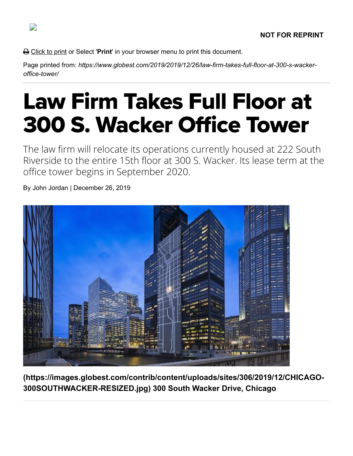Click to print or Select '**Print**' in your browser menu to print this document.

Page printed from: *https://www.globest.com/2019/2019/12/26/law-firm-takes-full-floor-at-300-s-wackeroffice-tower/*

## Law Firm Takes Full Floor at 300 S. Wacker Office Tower

The law firm will relocate its operations currently housed at 222 South Riverside to the entire 15th floor at 300 S. Wacker. Its lease term at the office tower begins in September 2020.

By John Jordan | December 26, 2019



**[\(https://images.globest.com/contrib/content/uploads/sites/306/2019/12/CHICAGO-](https://images.globest.com/contrib/content/uploads/sites/306/2019/12/CHICAGO-300SOUTHWACKER-RESIZED.jpg)300SOUTHWACKER-RESIZED.jpg) 300 South Wacker Drive, Chicago**